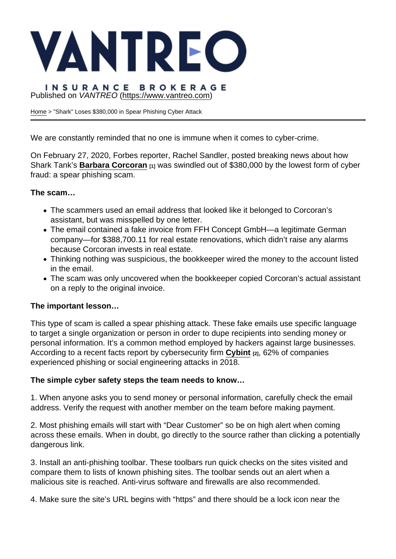# Published on VANTREO [\(https://www.vantreo.com](https://www.vantreo.com))

[Home](https://www.vantreo.com/) > "Shark" Loses \$380,000 in Spear Phishing Cyber Attack

We are constantly reminded that no one is immune when it comes to cyber-crime.

On February 27, 2020, Forbes reporter, Rachel Sandler, posted breaking news about how Shark Tank's [Barbara Corcoran](https://go.compzone.com/e2t/c/*W8dpq918LxmTFW7Pjz_n1LhHkc0/*VL3Z114mvNYTW1C19HH8PfzPS0/5/f18dQhb0S65P6XvPVTV1x1bS2vj68RW79dfwQ2wBVTlW37GxJb1FZbb8N6clzMFGVd9yW49czNp6NCmBrW4fM0_Z4htfhqN4f0-_Xl9_C4VH3JNB7G_vrdW7ddFsF6YGcWLW8BGfpv1TT_ZXW2fn7jc98zM3-W1ZtBlm1B0ztQVjvxrx7xDwLhW3Knwb02LhPS6Vl2S0N1nP3GPVKy0bW2ljkmTD7byr5j-WmW8b3dT-59ld_vVCJh6M12glzKVkSn0T1rYNkKN1jF7fqlTnDdW6cJ8m01WTvx-W63stgH4mwS1wW5vws_N1b7GGnW5t2Mrm3v48GPVVxc0v35XRnzW3c2_NC6rYf10N7tpzX6ygLv3W1HkP-p63s6mcW2J2tVL3_g2zbW7-TqwW7bHk1GW4R08FY382MdGW2cCfhV8y8pfnW4hFZHp2TL9-rW1yKBYg4cP_wHN7p5mTZNQWyrMNG8ZmMj3PYW5Sg4WP5YjFMYV6TSYS3h7K-9W34M0nZ2Sw63WW2z2Ptg1-ZwdGW8HB5456RtcCvW4wFk5D6JMBrXW1rjX275p35ctN3NxP4NFnN5DN8Y6lFDkDxQ4f4Yn9rF04) [1] was swindled out of \$380,000 by the lowest form of cyber fraud: a spear phishing scam.

The scam…

- The scammers used an email address that looked like it belonged to Corcoran's assistant, but was misspelled by one letter.
- The email contained a fake invoice from FFH Concept GmbH—a legitimate German company—for \$388,700.11 for real estate renovations, which didn't raise any alarms because Corcoran invests in real estate.
- Thinking nothing was suspicious, the bookkeeper wired the money to the account listed in the email.
- The scam was only uncovered when the bookkeeper copied Corcoran's actual assistant on a reply to the original invoice.

The important lesson…

This type of scam is called a spear phishing attack. These fake emails use specific language to target a single organization or person in order to dupe recipients into sending money or personal information. It's a common method employed by hackers against large businesses. According to a recent facts report by cybersecurity firm [Cybint](https://go.compzone.com/e2t/c/*W8dpq918LxmTFW7Pjz_n1LhHkc0/*W3WsdLp2Hqf09W2QB6ws946C0R0/5/f18dQhb0SmhX8XJ8hgN8ywbmbHbqG6W1yfnKS1PTTsbW7sR9j51vkZ1yW1L5k952Nkx4vW7sSqP27zMdJcW7v5HPY2NB2NVVgVxwR8wWLqqW5x5Rnq35yyYyN1q7FFhRzXZCVNh4VJ5wL96rW8sZ4WS67b7w6W7hYCG43N1Lh3W52SLKT64jzh4W7-JXPK23KCYmW3bPyFL3CblxqW5RlSdT5xNCj8W8mGgzn313x11W5mWT9134rKS9VGn_Zm5Pqmz7N5gl_GqZ6P5vVQdXkg40RJrTW5QyJ4434YT1WW3gMPQR8h3kxyV_Wvy83SmnLFW5qfCtt3VPhSdW3VlzfF12pgg1W3gc-7g5jfYtTW38kfHY3D5kvvW8zV7dK1BgLlTW7kJ19h73R1h2W224nsQ1WVTRSW6KvDFB268yPxW1R1V7v1YRdrhV215-p1Jp48cW4HhZS67LdQkYW1px5MX8Xjx6NW6Qr74g5wtMNrN4Bm5t8mRw0WDdXyXbD6XPf2bSlj003) [2], 62% of companies experienced phishing or social engineering attacks in 2018.

The simple cyber safety steps the team needs to know…

1. When anyone asks you to send money or personal information, carefully check the email address. Verify the request with another member on the team before making payment.

2. Most phishing emails will start with "Dear Customer" so be on high alert when coming across these emails. When in doubt, go directly to the source rather than clicking a potentially dangerous link.

3. Install an anti-phishing toolbar. These toolbars run quick checks on the sites visited and compare them to lists of known phishing sites. The toolbar sends out an alert when a malicious site is reached. Anti-virus software and firewalls are also recommended.

4. Make sure the site's URL begins with "https" and there should be a lock icon near the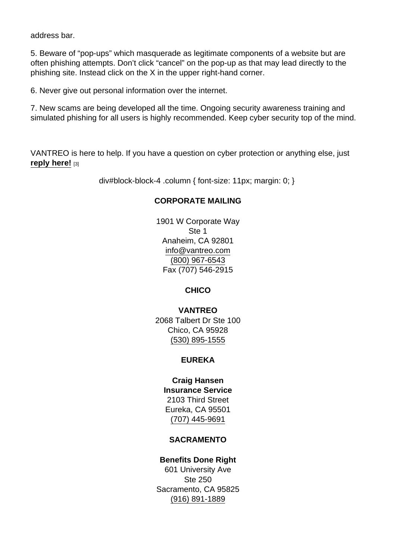address bar.

5. Beware of "pop-ups" which masquerade as legitimate components of a website but are often phishing attempts. Don't click "cancel" on the pop-up as that may lead directly to the phishing site. Instead click on the X in the upper right-hand corner.

6. Never give out personal information over the internet.

7. New scams are being developed all the time. Ongoing security awareness training and simulated phishing for all users is highly recommended. Keep cyber security top of the mind.

VANTREO is here to help. If you have a question on cyber protection or anything else, just reply here! [3]

div#block-block-4 .column { font-size: 11px; margin: 0; }

### CORPORATE MAILING

1901 W Corporate Way Ste 1 Anaheim, CA 92801 [info@vantreo.com](mailto:info@vantreo.com) [\(800\) 967-6543](tel:1-800-967-6543) Fax (707) 546-2915

**CHICO** 

VANTREO 2068 Talbert Dr Ste 100 Chico, CA 95928 [\(530\) 895-1555](tel:530-895-1555)

### EUREKA

Craig Hansen Insurance Service 2103 Third Street Eureka, CA 95501 [\(707\) 445-9691](tel:707-445-9691)

### SACRAMENTO

Benefits Done Right 601 University Ave Ste 250 Sacramento, CA 95825 [\(916\) 891-1889](tel:916-891-1889)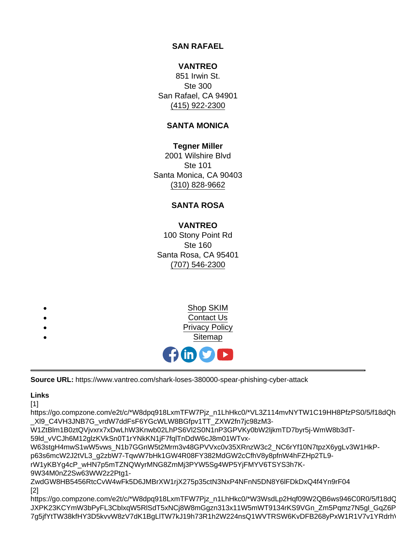SAN RAFAEL

VANTREO 851 Irwin St. Ste 300 San Rafael, CA 94901 [\(415\) 922-2300](tel:415-922-2300)

# SANTA MONICA

Tegner Miller 2001 Wilshire Blvd Ste 101 Santa Monica, CA 90403 [\(310\) 828-9662](tel:310-828-9662)

# SANTA ROSA

VANTREO 100 Stony Point Rd Ste 160 Santa Rosa, CA 95401 [\(707\) 546-2300](tel:707-546-2300)



Source URL: https://www.vantreo.com/shark-loses-380000-spear-phishing-cyber-attack

Links

[1]

https://go.compzone.com/e2t/c/\*W8dpq918LxmTFW7Pjz\_n1LhHkc0/\*VL3Z114mvNYTW1C19HH8PfzPS0/5/f18dQh \_Xl9\_C4VH3JNB7G\_vrdW7ddFsF6YGcWLW8BGfpv1TT\_ZXW2fn7jc98zM3-

W1ZtBlm1B0ztQVjvxrx7xDwLhW3Knwb02LhPS6Vl2S0N1nP3GPVKy0bW2ljkmTD7byr5j-WmW8b3dT-

59ld\_vVCJh6M12glzKVkSn0T1rYNkKN1jF7fqlTnDdW6cJ8m01WTvx-

W63stgH4mwS1wW5vws\_N1b7GGnW5t2Mrm3v48GPVVxc0v35XRnzW3c2\_NC6rYf10N7tpzX6ygLv3W1HkPp63s6mcW2J2tVL3\_g2zbW7-TqwW7bHk1GW4R08FY382MdGW2cCfhV8y8pfnW4hFZHp2TL9-

rW1yKBYg4cP\_wHN7p5mTZNQWyrMNG8ZmMj3PYW5Sg4WP5YjFMYV6TSYS3h7K-

9W34M0nZ2Sw63WW2z2Ptg1-

ZwdGW8HB5456RtcCvW4wFk5D6JMBrXW1rjX275p35ctN3NxP4NFnN5DN8Y6lFDkDxQ4f4Yn9rF04 [2]

https://go.compzone.com/e2t/c/\*W8dpq918LxmTFW7Pjz\_n1LhHkc0/\*W3WsdLp2Hqf09W2QB6ws946C0R0/5/f18dC JXPK23KCYmW3bPyFL3CblxqW5RlSdT5xNCj8W8mGgzn313x11W5mWT9134rKS9VGn\_Zm5Pqmz7N5gl\_GqZ6P 7g5jfYtTW38kfHY3D5kvvW8zV7dK1BgLlTW7kJ19h73R1h2W224nsQ1WVTRSW6KvDFB268yPxW1R1V7v1YRdrh